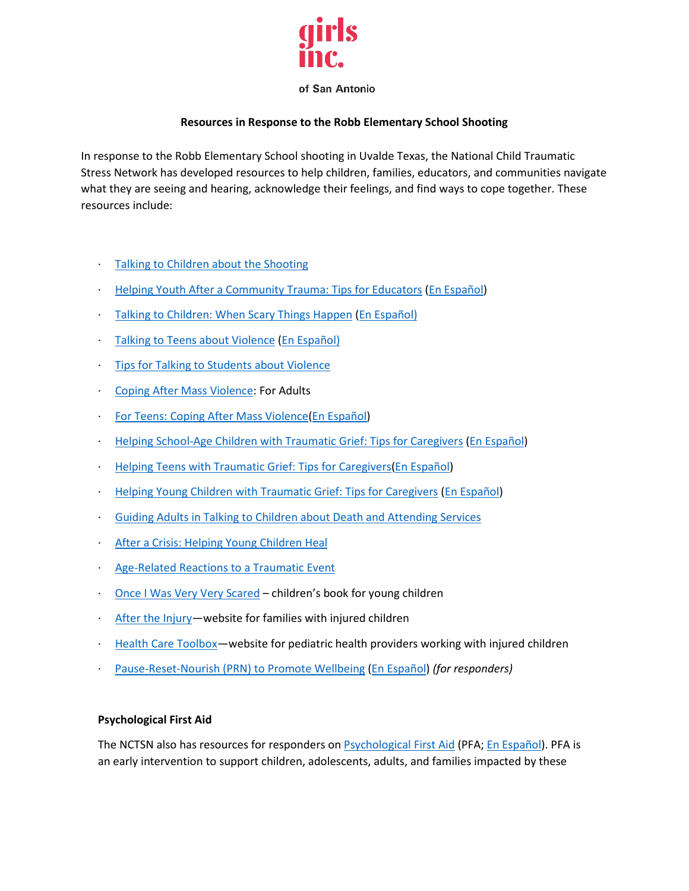

### of San Antonio

# **Resources in Response to the Robb Elementary School Shooting**

In response to the Robb Elementary School shooting in Uvalde Texas, the National Child Traumatic Stress Network has developed resources to help children, families, educators, and communities navigate what they are seeing and hearing, acknowledge their feelings, and find ways to cope together. These resources include:

- [Talking to Children about the Shooting](https://urldefense.com/v3/__https:/nam11.safelinks.protection.outlook.com/?url=https*3A*2F*2Furldefense.com*2Fv3*2F__https*3A*2Fnam11.safelinks.protection.outlook.com*2F*3Furl*3Dhttp*3A*2F*2Fwww.nctsn.org*2Fsites*2Fdefault*2Ffiles*2Fassets*2Fpdfs*2Ftalking_to_children_about_the_shooting.pdf*26data*3D04*7C01*7Cjames.henry*40wmich.edu*7C778118e4202c4e67efa608d9b44a0ee1*7C257622517aa94c72905f39bf026a8a84*7C0*7C0*7C637739052603849019*7CUnknown*7CTWFpbGZsb3d8eyJWIjoiMC4wLjAwMDAiLCJQIjoiV2luMzIiLCJBTiI6Ik1haWwiLCJXVCI6Mn0*3D*7C3000*26sdata*3Dyb*2B4M7JA2ncB2GgHEbB1sPFgspu5VPtUm6vBXs*2FVY2w*3D*26reserved*3D0__*3BJSUlJSUlJSUlJSUlJSUlJSUlJSUlJSUl!!F9wkZZsI-LA!S0ez0EkgYcoJQqCliLyWQGcPOIQilAz-QMZ3GihleehIPx3OI_orGZ1W6zQDQYB9ml1S*24&data=04*7C01*7Cjames.henry*40wmich.edu*7Cd211fee17b5e42b56c9708d9bc049985*7C257622517aa94c72905f39bf026a8a84*7C0*7C0*7C637747550359944141*7CUnknown*7CTWFpbGZsb3d8eyJWIjoiMC4wLjAwMDAiLCJQIjoiV2luMzIiLCJBTiI6Ik1haWwiLCJXVCI6Mn0*3D*7C3000&sdata=vVcC8wf14t2hxm6d*2BnDVmTR2oUodzsi4l5hnrIR2nOc*3D&reserved=0__;JSUlJSUlJSUlJSoqKioqKioqKiUlKioqKioqKioqKioqJSUqKiolJSUlJSUlJSUlJSUlJSUlJSU!!F9wkZZsI-LA!WLN-m7mcj34zxZ_vuGozR808BlN5tLgRjC4KShGKA5LpEZshoFC5ViPePI9l15vLreV4%24)
- **[Helping Youth After a Community Trauma: Tips for Educators](https://urldefense.com/v3/__https:/nam11.safelinks.protection.outlook.com/?url=https*3A*2F*2Furldefense.com*2Fv3*2F__https*3A*2Fnam11.safelinks.protection.outlook.com*2F*3Furl*3Dhttps*3A*2F*2Fwww.nctsn.org*2Fresources*2Fhelping-youth-after-community-trauma-tips-educators*26data*3D04*7C01*7Cjames.henry*40wmich.edu*7C778118e4202c4e67efa608d9b44a0ee1*7C257622517aa94c72905f39bf026a8a84*7C0*7C0*7C637739052603858978*7CUnknown*7CTWFpbGZsb3d8eyJWIjoiMC4wLjAwMDAiLCJQIjoiV2luMzIiLCJBTiI6Ik1haWwiLCJXVCI6Mn0*3D*7C3000*26sdata*3DmNcltU1dL1XaakucVA2*2BWj*2FiQiT5rfjld75ihNKTB14*3D*26reserved*3D0__*3BJSUlJSUlJSUlJSUlJSUlJSUlJSU!!F9wkZZsI-LA!S0ez0EkgYcoJQqCliLyWQGcPOIQilAz-QMZ3GihleehIPx3OI_orGZ1W6zQDQXBozk_E*24&data=04*7C01*7Cjames.henry*40wmich.edu*7Cd211fee17b5e42b56c9708d9bc049985*7C257622517aa94c72905f39bf026a8a84*7C0*7C0*7C637747550359944141*7CUnknown*7CTWFpbGZsb3d8eyJWIjoiMC4wLjAwMDAiLCJQIjoiV2luMzIiLCJBTiI6Ik1haWwiLCJXVCI6Mn0*3D*7C3000&sdata=2SZws6ZNQM49f5gLRYe30Xq7A6sDnTlWKdcHPwNivpo*3D&reserved=0__;JSUlJSUlJSUlJSoqKioqJSUqKioqKioqKioqKiolJSoqKiUlJSUlJSUlJSUlJSUlJSUl!!F9wkZZsI-LA!WLN-m7mcj34zxZ_vuGozR808BlN5tLgRjC4KShGKA5LpEZshoFC5ViPePI9l1we2zQhv%24) [\(En Español\)](https://r20.rs6.net/tn.jsp?f=0016WIYUpqQhou8ko6eUCVbfiPpK0UNN3wS9GNuxzwIwb3ej4tZ-yFAontcru-pyR6MtB3mcdvyoQw9gfiYs9aBtUbzT8hYOS-ncklfnONqpbHiJcxPRqzur74ZeYmGPsGjGmfX2lhWi0mz8y4JZbRf4RRsNfL3V-R7qlhHv3onDm5b8ac10vcPK9v4pqmXcHk03A3rDxbUFJi2KRVnBPtBP7tvV2ZwNqltA5A0pelZP7b5hv2RN1_4f3bilrnHqZiTaHDh2ThjGK7B3dH0fOGB35nR0BctAbnpNwHRcOstxoq5umBZFA9RKX0I4qxJr9Tdt_wRU6kl3I1njGIyel_GJsqKRgWdexsN1TpDpgW508S9a0dAh9tCWG0FegJXg039A7N0XnYiWZoxIrT2QR5Cc2tSPRn6iaYQYbXEufNV5IRWMUOL_AXtUxDxxghex0ieXu9xmVpL4w60kwv2G3P55VVhLqDpwSsmqal72xH3u9kxnVNIEJjb7g==&c=HhdV4UrfIw6TRmwZgJQI26APyICOqEfwScBd-9xa1EYYVX6gE3K5iA==&ch=mL3jPfDzHGEk-tkUOfXz1zhJEhznuXrwdtl-cW7khNMfFSyIq0v5_w==)**
- [Talking to Children: When Scary Things Happen](https://r20.rs6.net/tn.jsp?f=0016WIYUpqQhou8ko6eUCVbfiPpK0UNN3wS9GNuxzwIwb3ej4tZ-yFAontcru-pyR6Mh1KYbX7XqiAvMVRt0C_FsT1700bBMStAGqcw24kTpnQnrBxKyntqGD3y-ghpWQK2eosDb-O6smxPqY5OzcLxbGYemdJedi5BUZVFHFWxqDLLIEGWaYHzoai47DQmr1msixa6b1TOgroF3Ds_3Pyz-g==&c=HhdV4UrfIw6TRmwZgJQI26APyICOqEfwScBd-9xa1EYYVX6gE3K5iA==&ch=mL3jPfDzHGEk-tkUOfXz1zhJEhznuXrwdtl-cW7khNMfFSyIq0v5_w==) [\(En Español\)](https://r20.rs6.net/tn.jsp?f=0016WIYUpqQhou8ko6eUCVbfiPpK0UNN3wS9GNuxzwIwb3ej4tZ-yFAontcru-pyR6MTzs3WaqV_V9QGW3JOtCyWBtR0w5nVH5qMihZnSszRkD0y00-teEyrs0Cmo8YGdcTYws8AfefC48MvYKlhT4KWLSBDiNuWnr666L1cXTGj-vvDUcsAYUCnaY6JLxN98TOO58yRDR2bzV37apDShjfjg==&c=HhdV4UrfIw6TRmwZgJQI26APyICOqEfwScBd-9xa1EYYVX6gE3K5iA==&ch=mL3jPfDzHGEk-tkUOfXz1zhJEhznuXrwdtl-cW7khNMfFSyIq0v5_w==)
- [Talking to Teens about Violence](https://r20.rs6.net/tn.jsp?f=0016WIYUpqQhou8ko6eUCVbfiPpK0UNN3wS9GNuxzwIwb3ej4tZ-yFAontcru-pyR6MmQSndKtO-_BT64ddR7KzZbfZpFZDjmIgfZxNSVcuPeo2Ha0jdzrS3kOcIL-w2kk4LrN65hZYQrvBR5FtXezjUpveUlkptKJ1cRDfJ2p-WJmP6WeiLm5PmzVzvrPh9HGaGSTyqJMZ0h9049ge06kQEg==&c=HhdV4UrfIw6TRmwZgJQI26APyICOqEfwScBd-9xa1EYYVX6gE3K5iA==&ch=mL3jPfDzHGEk-tkUOfXz1zhJEhznuXrwdtl-cW7khNMfFSyIq0v5_w==) [\(En Español\)](https://r20.rs6.net/tn.jsp?f=0016WIYUpqQhou8ko6eUCVbfiPpK0UNN3wS9GNuxzwIwb3ej4tZ-yFAontcru-pyR6Mv8crtCcaJ6bWBcHScwghvsXLpc3v0Jz0gbMGBzII42CGkD1yF1dVDAREi7SNF97MHT5AAPb9NQBjswu0o0sp9F0HPgZbYSqMZC4fZ0Eoqc5-WJBCTARMyHK_bwvQznitzS42WG2ljBF23nsjupHarcdiR3BGhM6gIyHo3H1HEtd68JDLi6Usg537IBH364w-nqXkVU99yypPgPbn4PSfTksvAMh7Xcre&c=HhdV4UrfIw6TRmwZgJQI26APyICOqEfwScBd-9xa1EYYVX6gE3K5iA==&ch=mL3jPfDzHGEk-tkUOfXz1zhJEhznuXrwdtl-cW7khNMfFSyIq0v5_w==)
- **[Tips for Talking to Students about Violence](https://r20.rs6.net/tn.jsp?f=0016WIYUpqQhou8ko6eUCVbfiPpK0UNN3wS9GNuxzwIwb3ej4tZ-yFAontcru-pyR6Mi8CWxJz06vC4xbOrMPfYHuqzLlfncDYZ0PKUiNRwPYIvgFLDXvK7EElBwUM1GBcWfh4ohyl0e3Zln3XKHlCovUPD2yV38wizzF_pBvp4fMK8_RKDNuu_BQUjlGQC0WXFt-lxVERtImiTg4d7VOcqvw==&c=HhdV4UrfIw6TRmwZgJQI26APyICOqEfwScBd-9xa1EYYVX6gE3K5iA==&ch=mL3jPfDzHGEk-tkUOfXz1zhJEhznuXrwdtl-cW7khNMfFSyIq0v5_w==)**
- · [Coping After Mass Violence:](https://r20.rs6.net/tn.jsp?f=0016WIYUpqQhou8ko6eUCVbfiPpK0UNN3wS9GNuxzwIwb3ej4tZ-yFAontcru-pyR6MMYeWOgR06otPOkT1BtvfwFykvkbd0yd7g-ztoE67vdr2F8lkhdjYEcPVrWvZRzipFH7fUbjOqZir-WLq2qZoE1VwAnviEOjxnMsUcymr3Z9a03or1nGttQF2yEO0j5RcyucQmAaydOeYgoF8pADFyaL8JHhRVv2b3zs7pJ3EtlaD7Iu9JbATuIemeY-_a-wHiqCDMIDXfvtzaGima8rKV16G479yPZzH77hthPXhuyVL32HLLwnCD7eHANZRqTX_VqYuAEUQSoYyVF_OLedY-5wt0Q2PYTR5CUsfcezWrlLtexyvDtrneaFBIXvzv9_iOcNd6cFFCtFko3HOApYEbY8azLBfS0cK2J5rgtBZqM51XXtdKMmN0oL_EfpONT0lR_bBAkVbqSim2hMWQUXvyYA_3HJf9AjA9Wg-JkyI8-D0ME1iN8MAm-PBu0m1DT_nYJGT4kJfrBKWt_b1OV3I5p3uFgdUXwm3VKHe7YcwHanrE0URIeVRKAEPl-9va_f7W5Ydrdy3ZYauQCvyAHd-Zkb2v12RkbNIFgiOyld5Un3ynEY8BNTQeY-8vbfWuzZ-hAlb33ou5xwdCjd93xJsByEOdX9I1C-nitq05EOoasFmG5lxYal_nrq8RL2E72RiKBOXN9yW4VZvAWbDchFfCb6NSdElbxTYMyfYuRMDw49Ssi2u3_lckzX8dm1qeBm3tJ9kv23ZJgkwNAFChN1Vbs-Z8c2eEZeiM5N1kMLbnDmqXGwq6WjeHv4gOCHLQbHpFt87k-Ceu5q4MQRsZ7g5buZKI688Ci115c2RdC7oAe3Esgoab55TOR2JptOQZVZrqxNHAidTv_GSQGLnCelqYTS9Hy0xvDgez68spnZHUTUG1HEqyeXEhCzvIc0d8E6UzV35AeJ8Ymo=&c=HhdV4UrfIw6TRmwZgJQI26APyICOqEfwScBd-9xa1EYYVX6gE3K5iA==&ch=mL3jPfDzHGEk-tkUOfXz1zhJEhznuXrwdtl-cW7khNMfFSyIq0v5_w==) For Adults
- [For Teens: Coping After Mass Violence](https://r20.rs6.net/tn.jsp?f=0016WIYUpqQhou8ko6eUCVbfiPpK0UNN3wS9GNuxzwIwb3ej4tZ-yFAontcru-pyR6MOMh_sfp0qQUi9r8qfmDj0h24szv_cw3tVNigPJQ7HX_IGplEyGtTZ4CgjbQpW1iVwCad4g5Za8aj5sJTkevzlihDeZ7sXx4mWTHwWNaUAUioElMUSO_CiNlAw6bMOak43Egvw_vpjUnzjMGBZHCGKEDgELOi_VB0lQ4jgjScAiie3vcmYVUvgejjEsEom7mpFkhqz1LeuGGfX3IdLrq4KMF7GeWdmi2Epm0-Y4u93pgWj_NAZ8_u6DOcMROGaZm4ML_oIeMPY-yg2VDMsfRHIigTpgsAz7dkdBJ4jMt6Xfasz3dRSpjKoSL3pZyH76hUw08dgZ0DnJb799tnG8u9prFrnXSClYCjvrEoFLneWKiyc5v2uAd-tRJbBKtIjmy9RbU1aHauodpNr0eRrVheusQeesWmn3ZS3gmb23BOBb7fQlbg_-xZmvt19yk35jWtZluZrojesScCUduhw1lNBTf4lmxSsjOo7k7Pipes7ePiKNJ-ueYvFAytqnLWunpl61ELLQwGXXBxUi8LHzDNrfhKoDqHM19hipN7kRU-bAcw1aVXtO50xEiaK2nkzFdG_PjP-M54ozT99up1nPBwIJ4qZA8_NtpWq8nt7C8-A4c40FQgDJfLPy5ofrs-oAoGYNBLh8ctJi4R4w-rKGtf5A0E83KYyLDLGUfWM5Nu25Hr56TfCzC1ZtX6m5wZWdrowLLmJsWE8S7Hq0K6yEsM2e3p_2IQtbld3Vq0djUTvkAfCC1wBFlceamStQgo-9GKVhxJFgwaZpFe5XXF--emzMmNUp-1qU5VOvQLnNJzR2S1R8PSrPNun9BAtntT1JuFMGJCeW1nZ0QOMHsi4OGf6Ak7aB6hKk87-y9jxHOdB_MROdGV0YAMJTg6n90B3P4tpHggAPMqYMdLmFu2HlvtJyHh9RYFrxHY3DtkLfKZ8Vt--44wKzE1ob5rq9i4GhXI33IFvVJvWJjyi9-foemw1kJ-Eb7-hvUt&c=HhdV4UrfIw6TRmwZgJQI26APyICOqEfwScBd-9xa1EYYVX6gE3K5iA==&ch=mL3jPfDzHGEk-tkUOfXz1zhJEhznuXrwdtl-cW7khNMfFSyIq0v5_w==) [\(En Español\)](https://r20.rs6.net/tn.jsp?f=0016WIYUpqQhou8ko6eUCVbfiPpK0UNN3wS9GNuxzwIwb3ej4tZ-yFAontcru-pyR6M6F0S5aaeMKHXJqjAdN8knuxy2y4B7BjiWMQ8puRGGO8JohCg76TfjCunQxBeaRtNXSM4YlAyRoH8HXS-EaJhDrLI3RvShy-o_Zn6NpLyKv3SE_U4rADemYH1tBnrHPbNc25Lt0CQ9BggQH9vRw7xv0FeUAWkANswv3gmdLzF0dMXxcsQk0hySG4iy9Z9qhm7j68qP-J37vKclppFt5OwCLBVBloKCsNQPJ6n0rCXKlJYUMMHiM_8W51GuFLf9mZPq-3p7M5bcEYpgRxRLhNeWO45NHuJT4rLGhQtWYNHWb_8PPd00QjoG3lgbo8zuZvj-TuR7mI3i14Zbr789zoR91SgderaJ3YY91hrOM9ViqxiN8L6I_jbBG3B41XHUW67ipbA29Ts7JSl_bnvakehWk8DeAz98NNFuFqj_4CsK3Wao6-XjFuQmxUSPUhqpfBZz-RPRlc3UqX09Y8TDk7GYvecjv8HNqtK-jrPSXZ5Y8M1J6jFeMZii8hwVC7yd66HxqNwAgzNhhfQzRlMHusmZ-94wshrVvjAzHjm_PxpOP8MhB5XkAqPEtls3vdpk7IFi7SUFOiNIhRZ9ECKtDu3lOqPz2FbFAuHooYb84uvyzRHFlPS3c2A_tWvSFWHK51URzrdBGAXy7sGNPld3gsbkTfsVOE1Hyfzii_LxeK9CbUMXOah1m73qDp5xiqFE3s41sD-RMflSsn9WaRWW70H0d6evPnrlBIMBDencR6Ant5HakxwirqsorIvV0UereOj1SKsgjgPoKWVe72m6trNKuypO8BLcQcp1ztcifuxfRWN9ckgUdp2Q5ORtPNsqr1j46M2W89tT5moLCNbm9vP-JnpytHwPiSJD6cZfTIelkrQiMNth4y4PtvWJFCUGGAwkNVYN7lV9xpv_vgYQmzQAAde_T1OFAnj&c=HhdV4UrfIw6TRmwZgJQI26APyICOqEfwScBd-9xa1EYYVX6gE3K5iA==&ch=mL3jPfDzHGEk-tkUOfXz1zhJEhznuXrwdtl-cW7khNMfFSyIq0v5_w==)
- · [Helping School-Age Children with Traumatic Grief: Tips for Caregivers](https://urldefense.com/v3/__https:/nam11.safelinks.protection.outlook.com/?url=https*3A*2F*2Furldefense.com*2Fv3*2F__https*3A*2Fnam11.safelinks.protection.outlook.com*2F*3Furl*3Dhttps*3A*2F*2Fwww.nctsn.org*2Fresources*2Fhelping-school-age-children-traumatic-grief-tips-caregivers*26data*3D04*7C01*7Cjames.henry*40wmich.edu*7C778118e4202c4e67efa608d9b44a0ee1*7C257622517aa94c72905f39bf026a8a84*7C0*7C0*7C637739052603868934*7CUnknown*7CTWFpbGZsb3d8eyJWIjoiMC4wLjAwMDAiLCJQIjoiV2luMzIiLCJBTiI6Ik1haWwiLCJXVCI6Mn0*3D*7C3000*26sdata*3Dfg3WJyHF5fNqJc9QGrBUXFxPqcvieTxPTynNbIe8NX8*3D*26reserved*3D0__*3BJSUlJSUlJSUlJSUlJSUlJSUl!!F9wkZZsI-LA!S0ez0EkgYcoJQqCliLyWQGcPOIQilAz-QMZ3GihleehIPx3OI_orGZ1W6zQDQdED9yiS*24&data=04*7C01*7Cjames.henry*40wmich.edu*7Cd211fee17b5e42b56c9708d9bc049985*7C257622517aa94c72905f39bf026a8a84*7C0*7C0*7C637747550359944141*7CUnknown*7CTWFpbGZsb3d8eyJWIjoiMC4wLjAwMDAiLCJQIjoiV2luMzIiLCJBTiI6Ik1haWwiLCJXVCI6Mn0*3D*7C3000&sdata=HW2f3xvaPdZTnj*2BFrGwd9ppIIRwSxFWa2R5UGiduMdA*3D&reserved=0__;JSUlJSUlJSUlJSoqKioqJSUqKioqKioqKioqKiolJSolJSUlJSUlJSUlJSUlJSUlJSU!!F9wkZZsI-LA!WLN-m7mcj34zxZ_vuGozR808BlN5tLgRjC4KShGKA5LpEZshoFC5ViPePI9l1xz66sbk%24) [\(En Español\)](https://r20.rs6.net/tn.jsp?f=0016WIYUpqQhou8ko6eUCVbfiPpK0UNN3wS9GNuxzwIwb3ej4tZ-yFAontcru-pyR6MqDVFuexOVxrFy6VWru-yeP65KoxT7ZSkI6YqAPAw4Kn3egQNxB5T7cfXJel5nzMKkEinniWEjqLNa_GPcd9Wdo3yOjmj6CKUjtNV5SXGO-ena-YzjJqcKSixT-L9YCnmu4E4cDNHrJQlUnYDHNwPTFcHCcdZIdek9wTJjQ-WadyWVY-j34vNwKn3BRKvgGtW-fwcHRqobzdDVFAIBzKza_1V7oV6tOUsuwsgtWWXWLzvQRJHDifweFPQq0c_pCB530kL9fAAs7YPH-WOh1e_NHcBjZzyBbqic9yXtCaZJ2o6IgkxDndM5ERFBwYu3xdhzIQUHO1ljy4_JvxCqkwJUD75-dU8-r34NLjteSGOTqnj9GHbKbOfTQkSTlt2aIQhpHpxo7fc3l4xe4Y0xNDpNQPa-DkG21quESXm1T-b3qMYZJqj5qstpNMl4w06BrFLKFtzyKDX604=&c=HhdV4UrfIw6TRmwZgJQI26APyICOqEfwScBd-9xa1EYYVX6gE3K5iA==&ch=mL3jPfDzHGEk-tkUOfXz1zhJEhznuXrwdtl-cW7khNMfFSyIq0v5_w==)
- · [Helping Teens with Traumatic Grief: Tips for Caregivers](https://urldefense.com/v3/__https:/nam11.safelinks.protection.outlook.com/?url=https*3A*2F*2Furldefense.com*2Fv3*2F__https*3A*2Fnam11.safelinks.protection.outlook.com*2F*3Furl*3Dhttps*3A*2F*2Fwww.nctsn.org*2Fresources*2Fhelping-teens-traumatic-grief-tips-caregivers*26data*3D04*7C01*7Cjames.henry*40wmich.edu*7C778118e4202c4e67efa608d9b44a0ee1*7C257622517aa94c72905f39bf026a8a84*7C0*7C0*7C637739052603858978*7CUnknown*7CTWFpbGZsb3d8eyJWIjoiMC4wLjAwMDAiLCJQIjoiV2luMzIiLCJBTiI6Ik1haWwiLCJXVCI6Mn0*3D*7C3000*26sdata*3DFolYCzlhYQScOaNc3TL4ETkm9KZ7YiukUDm9*2F*2FwFxms*3D*26reserved*3D0__*3BJSUlJSUlJSUlJSUlJSUlJSUlJSU!!F9wkZZsI-LA!S0ez0EkgYcoJQqCliLyWQGcPOIQilAz-QMZ3GihleehIPx3OI_orGZ1W6zQDQTb9_diS*24&data=04*7C01*7Cjames.henry*40wmich.edu*7Cd211fee17b5e42b56c9708d9bc049985*7C257622517aa94c72905f39bf026a8a84*7C0*7C0*7C637747550359944141*7CUnknown*7CTWFpbGZsb3d8eyJWIjoiMC4wLjAwMDAiLCJQIjoiV2luMzIiLCJBTiI6Ik1haWwiLCJXVCI6Mn0*3D*7C3000&sdata=SSEhfmZ6QqA3sKJsndMK*2Bd2dvt1vZu3llSK*2BMAxplL4*3D&reserved=0__;JSUlJSUlJSUlJSoqKioqJSUqKioqKioqKioqKiolJSoqKiUlJSUlJSUlJSUlJSUlJSUlJSU!!F9wkZZsI-LA!WLN-m7mcj34zxZ_vuGozR808BlN5tLgRjC4KShGKA5LpEZshoFC5ViPePI9l12YbIfJJ%24)[\(En Español\)](https://r20.rs6.net/tn.jsp?f=0016WIYUpqQhou8ko6eUCVbfiPpK0UNN3wS9GNuxzwIwb3ej4tZ-yFAontcru-pyR6MLjWMUEAJ5XezCMtbL1_75D8Lw_2YcyewPnKAtZCWC4SWk_A4lI__d968FoASRZuUVvVFHiHtzmxb0ZlWqtf1P9bjKafPbEJLv-26iCGCP29P60iy7drpKWD7cjZJeTAg4CwQ440yMGxp4FgjWvQlgN3m3GK0K2WwQrg5-AWFUsCq0XEV9WrgM-8BANeD5ZERRxbrkIpe9iIPtwz-i2QpLIXkMIPZaOAKHYP67gvcPk7zIiRzGbQTh_cuulTzJxCvb61y7oYAyKZu9yuUm8kDZ_iG3g5C9KkBKQgwLZ-VU0T8xqUTnJ-h3hX4Xe_x3umhv6OlrS5mDSR5rbWQxqDrQ4KbwEsQuR_RpggRXQqqbv9GGypJd5usH5jTBuO2MIs1DFSuBlcmFsGSgpEgeJmbPheedC2JzygN9XpM22DuiU-mo2qAEyu4xvi4VNpwz4IbrIjHEZPbZvKDuyc0-wGg_o_a5Va448SyyD0uff_Ivpi-995rpUdePQ==&c=HhdV4UrfIw6TRmwZgJQI26APyICOqEfwScBd-9xa1EYYVX6gE3K5iA==&ch=mL3jPfDzHGEk-tkUOfXz1zhJEhznuXrwdtl-cW7khNMfFSyIq0v5_w==)
- · [Helping Young Children with Traumatic Grief: Tips for Caregivers](https://urldefense.com/v3/__https:/nam11.safelinks.protection.outlook.com/?url=https*3A*2F*2Furldefense.com*2Fv3*2F__https*3A*2Fnam11.safelinks.protection.outlook.com*2F*3Furl*3Dhttps*3A*2F*2Fwww.nctsn.org*2Fresources*2Fhelping-young-children-traumatic-grief-tips-caregivers*26data*3D04*7C01*7Cjames.henry*40wmich.edu*7C778118e4202c4e67efa608d9b44a0ee1*7C257622517aa94c72905f39bf026a8a84*7C0*7C0*7C637739052603868934*7CUnknown*7CTWFpbGZsb3d8eyJWIjoiMC4wLjAwMDAiLCJQIjoiV2luMzIiLCJBTiI6Ik1haWwiLCJXVCI6Mn0*3D*7C3000*26sdata*3Dw0elNUIRxgQ6jnZcmTB9hMxipKDxQ9UV4DPaa0fwWxw*3D*26reserved*3D0__*3BJSUlJSUlJSUlJSUlJSUlJSUl!!F9wkZZsI-LA!S0ez0EkgYcoJQqCliLyWQGcPOIQilAz-QMZ3GihleehIPx3OI_orGZ1W6zQDQaSVV8lj*24&data=04*7C01*7Cjames.henry*40wmich.edu*7Cd211fee17b5e42b56c9708d9bc049985*7C257622517aa94c72905f39bf026a8a84*7C0*7C0*7C637747550359944141*7CUnknown*7CTWFpbGZsb3d8eyJWIjoiMC4wLjAwMDAiLCJQIjoiV2luMzIiLCJBTiI6Ik1haWwiLCJXVCI6Mn0*3D*7C3000&sdata=M97KpznXEkhD6wJYOEqelNXJp2*2BIqX6u4C*2FlaePgmPk*3D&reserved=0__;JSUlJSUlJSUlJSoqKioqJSUqKioqKioqKioqKiolJSolJSUlJSUlJSUlJSUlJSUlJSUl!!F9wkZZsI-LA!WLN-m7mcj34zxZ_vuGozR808BlN5tLgRjC4KShGKA5LpEZshoFC5ViPePI9l18b6ChQl%24) [\(En Español\)](https://r20.rs6.net/tn.jsp?f=0016WIYUpqQhou8ko6eUCVbfiPpK0UNN3wS9GNuxzwIwb3ej4tZ-yFAontcru-pyR6MBZwMt1MH7OHLYF4VOmAWPzMkDj9NUMBVYBz6h2A1rL1rMqc9QIHtYciCzPrte6AMPTSkjScPrwNZn_XqiDx2cti7H2L_F51f6Ffy9aDWmYHGUTPJ5AAJFlBefURAVHVSBVG0a5nYLYm-yKf1u3EoJEGJpe_ae4DtQLMfAngxODzRJq2A0pDk4R2Yg2Xjs_Nyx35p90by4PkkoMNzk1Ni0UNgOt0T2Y17wMA6dVT76xzoR_pJlmmlCvrWGbjKWHPMRkUnDcQC9k65aKF3suUwn5pGdNRra92HVj5jwgR2KHlnh0G-yFW6Pixq3wgtqrKP8LCYspJTFWRqfjwi3mA305u-DDEymYDx8zHvN2lWtx9_NQZe3SXe8FraQQOwUAhoBB4i1AcYOFhEvMnql4HQiw14uis0fas0LqY3UYVxjmHFp7Ll4QSV5u036I7kHphZ&c=HhdV4UrfIw6TRmwZgJQI26APyICOqEfwScBd-9xa1EYYVX6gE3K5iA==&ch=mL3jPfDzHGEk-tkUOfXz1zhJEhznuXrwdtl-cW7khNMfFSyIq0v5_w==)
- · [Guiding Adults in Talking to Children about Death and Attending Services](https://r20.rs6.net/tn.jsp?f=0016WIYUpqQhou8ko6eUCVbfiPpK0UNN3wS9GNuxzwIwb3ej4tZ-yFAontcru-pyR6MoY519_jb6KXn--eDbXnvm0QOwf87eay1bN0GJz63ntDPKH2YwJDvD7iQ0nhoO3fmu7Y0xgnGxW2xP4zuGwQutoN0-pu9GDJ8z37sF1FpzpeeXkuScg_EyKGMLD9Ls6tAwDjwlNMW_m5W9qgO-1--PiH4mC0ZsifPmfkDNMY88SdQi4LHmoFcna29GRPVXGo0302HDsEPjOSb9w58xma-gVVxu9wUV1-ZI3zctD3mV31RBjA3SQzxWikP25_DX8ZW6Zgh8I4Auh9hKt_njxdHcOfJewNUsv4Pk5Quqs5r8K9e-9r08sLNMCXfBFq4vhORaeC1rqTR7MDG_C2ZNMmF8yGdH67w_U2w6PWKCUMv4ZwIFbSJ_SDM1Z7nDVuKzp4cLe3ST9tdcKJhePBCQ57D2JlIiyu-wssTLciyOE1_07mWPUYDL880sxPLJe6xtlIf&c=HhdV4UrfIw6TRmwZgJQI26APyICOqEfwScBd-9xa1EYYVX6gE3K5iA==&ch=mL3jPfDzHGEk-tkUOfXz1zhJEhznuXrwdtl-cW7khNMfFSyIq0v5_w==)
- [After a Crisis: Helping Young Children Heal](https://r20.rs6.net/tn.jsp?f=0016WIYUpqQhou8ko6eUCVbfiPpK0UNN3wS9GNuxzwIwb3ej4tZ-yFAontcru-pyR6M7wIluIiIYRpC5VKmmLQXv3UbrfLUd6jLt1s47OoIwGo4Y8Yyp1XmQpyV0lnmBuNe6PLLzlKIkO65nLHmz245qveVJSdMg7U_SYFU3Nh1dAh58LuKABGE_JU0xyqsNeMGfJUJ6xP9xcRh843lM_mmkBvboDfbdefJY6fc3GZwk8WQvSn_jz1m12nK6THJPgKY3uvhDroh0s4Gol5QeRrUf7MF0b4HJ1u8KMtcCofb2Hxltfg3JK6uck-GfWOM6HJKyIpkDk89qc3TC8-UC051ZkLU_iIIMObIejwwFc_8Lx4mJyEndf5Kl1Kabaublmnf1wq8Kar-pcchO_pPyAt7vzDqavNMJu06fDbiq_UFDqxVH6Fo7Bz2FX9T1UI7RdPXdglLTecJ-3kXa_r-A50sRGFf7ItR0KJY&c=HhdV4UrfIw6TRmwZgJQI26APyICOqEfwScBd-9xa1EYYVX6gE3K5iA==&ch=mL3jPfDzHGEk-tkUOfXz1zhJEhznuXrwdtl-cW7khNMfFSyIq0v5_w==)
- [Age-Related Reactions to a Traumatic Event](https://r20.rs6.net/tn.jsp?f=0016WIYUpqQhou8ko6eUCVbfiPpK0UNN3wS9GNuxzwIwb3ej4tZ-yFAontcru-pyR6MF77cU8AaVHFr_4nZl5u9Bx75s6kiWjhyoxNZxbOl5kbBkfvt1s-bdLWi99QhVQ6VmNFqb4dA2RJcQTw0QcI_FkjjlFDjIDNjRlva6WsTzeFrF3r82sK5W6VPtH1kkoPMO7ocbAhYhX1hguK9EHyMHA2k8_1CtNinkahg0123uJna1DpCFkavSq6KsksEb4B_kCbiXR2z5B8tbXhNnt1ifjZCiGunK5O6ZQ1fASCSfxbOs-ePzfT-FLlTsXXQf35dKH5vFIw94QM4fTXqWeSh_jd4UwrxdkCWYLtM1Wyf6uYsMpR7ZCZHB6czQoCxkx8aLcpGcRgTnpINfbpB_NzES2Q66TrtXPtP_T_DIeDXMTlLvH4-QkEo55ZPxL78BBFWTmF7hi45TQTWnFDqCLAOSIhyexHdIAlg&c=HhdV4UrfIw6TRmwZgJQI26APyICOqEfwScBd-9xa1EYYVX6gE3K5iA==&ch=mL3jPfDzHGEk-tkUOfXz1zhJEhznuXrwdtl-cW7khNMfFSyIq0v5_w==)
- [Once I Was Very Very Scared](https://r20.rs6.net/tn.jsp?f=0016WIYUpqQhou8ko6eUCVbfiPpK0UNN3wS9GNuxzwIwb3ej4tZ-yFAontcru-pyR6MCCieYPUTz_TG-EbNKz4Dga3JDc0F66e2S5e_Ezhv7N6f8OvRInwh-1svAJ5MslLY5LjGlr27gc6Ao0OAO51br5Mh6ybwasmlVEVh1UNSWpvY7NunNcX0195kwkDaxP1wjbqgGbj6L3oqvpcmPuPKMht8LyqURT9JJEnGDFqXsvoHeFRX8i8HLVmm_UIEQLXIDOKvlp3BQQiD7i_U4Z9ruKL60kMZQxmE9sUAwTYDR35QG6py982olI-ADSUgcbQUXALHHDL3alI2fN_VLXNiqlcNHxRDp1HK1SAfzM_z790bAYXkzpPRTd3E0k9uDObSZR8TkK2NbTs-NLN9ZqUzbb2O9jYiVMt2Xki4_Y8-1VM=&c=HhdV4UrfIw6TRmwZgJQI26APyICOqEfwScBd-9xa1EYYVX6gE3K5iA==&ch=mL3jPfDzHGEk-tkUOfXz1zhJEhznuXrwdtl-cW7khNMfFSyIq0v5_w==) children's book for young children
- After the Injury-website for families with injured children
- [Health Care Toolbox—](https://urldefense.com/v3/__https:/nam11.safelinks.protection.outlook.com/?url=https*3A*2F*2Furldefense.com*2Fv3*2F__https*3A*2Fnam11.safelinks.protection.outlook.com*2F*3Furl*3Dhttps*3A*2F*2Furldefense.proofpoint.com*2Fv2*2Furl*3Fu*3Dhttps-3A__www.healthcaretoolbox.org_*26d*3DDwMFAg*26c*3DUXmaowRpu5bLSLEQRunJ2z-YIUZuUoa9Rw_x449Hd_Y*26r*3DhzomOGg2G27ZjuZegYWWfu4EgrpiGCT_JunBM07Lj7Q*26m*3DvyKoXFUQ-CzUQsUEsU_VwEifMStVNuB6XZZtDuIDrTY*26s*3DTo4qpM_pSNMYr-2Wu8Yq6yEKrS7FOZCM4Pxiq5SgFuM*26e*3D*26data*3D04*7C01*7Cjames.henry*40wmich.edu*7C778118e4202c4e67efa608d9b44a0ee1*7C257622517aa94c72905f39bf026a8a84*7C0*7C0*7C637739052603888848*7CUnknown*7CTWFpbGZsb3d8eyJWIjoiMC4wLjAwMDAiLCJQIjoiV2luMzIiLCJBTiI6Ik1haWwiLCJXVCI6Mn0*3D*7C3000*26sdata*3DcrKZkT*2F9xlBsfqipiaAAAT6h6ETKg8LZGnngZQtQWck*3D*26reserved*3D0__*3BJSUlJSUlJSUlJSUlJSUlJSUlJSUlJSUlJSUlJSUlJSUl!!F9wkZZsI-LA!S0ez0EkgYcoJQqCliLyWQGcPOIQilAz-QMZ3GihleehIPx3OI_orGZ1W6zQDQVeOEJCl*24&data=04*7C01*7Cjames.henry*40wmich.edu*7Cd211fee17b5e42b56c9708d9bc049985*7C257622517aa94c72905f39bf026a8a84*7C0*7C0*7C637747550359944141*7CUnknown*7CTWFpbGZsb3d8eyJWIjoiMC4wLjAwMDAiLCJQIjoiV2luMzIiLCJBTiI6Ik1haWwiLCJXVCI6Mn0*3D*7C3000&sdata=wAETX0H4b3mVzpMM5Dl109Y5j8CFpVNKG*2FKPGl2Yqtw*3D&reserved=0__;JSUlJSUlJSUlJSoqKioqKioqKioqKioqKioqKiolJSoqKioqKioqKioqKiUlKiolJSUlJSUlJSUlJSUlJSUlJSU!!F9wkZZsI-LA!WLN-m7mcj34zxZ_vuGozR808BlN5tLgRjC4KShGKA5LpEZshoFC5ViPePI9l13B9jNuo%24)website for pediatric health providers working with injured children
- · [Pause-Reset-Nourish \(PRN\) to Promote Wellbeing](https://r20.rs6.net/tn.jsp?f=0016WIYUpqQhou8ko6eUCVbfiPpK0UNN3wS9GNuxzwIwb3ej4tZ-yFAontcru-pyR6Mk1WZNt9DOnDDaTAMYQneLXTYWsoH0VUkVMDY6BdrdQoJyQam3GP1uEyC8Bp_G0VzDf1rKOaWbXYvOW7kYD9_vZG9MivipYx5MXrkEwQh3q7Zj9z04F_P4ZPm7Pe5EN_e6sJE04adJUvXlAA_nf1rEq9AkvqCpmWWHPGv4XZBuGtQP0_BgfzaR6CnBoFZC5NNqLxUmVuV_rDLVrpD6tQMwhqFaCo07hIj-E33l5MRhXZ69H017dMpVExTXC5v1D8pnVRMkmUcV3obnHXCyhs5QT25ao8vR9Ej8Nf8uPttWgLD5E8O3Oc1UMR1kTM8Rra8yQ0XTtCDd8CWbwAtnF--yflw0c96AV9oHa2WAef0wdePXz_RwoTdMlEGNf8M_9oCKf7NvEIqloygxnPgDQZgTGv73qlM5M1fLxuUO1N-ok7vBc9ucxuxG39ZZarnydX88ofVeN2E9o0=&c=HhdV4UrfIw6TRmwZgJQI26APyICOqEfwScBd-9xa1EYYVX6gE3K5iA==&ch=mL3jPfDzHGEk-tkUOfXz1zhJEhznuXrwdtl-cW7khNMfFSyIq0v5_w==) [\(En Español\)](https://r20.rs6.net/tn.jsp?f=0016WIYUpqQhou8ko6eUCVbfiPpK0UNN3wS9GNuxzwIwb3ej4tZ-yFAontcru-pyR6MgbzGZmQMKm4aRHD4jAXO-6V-eCKFdlKTSz1jIhzFgO2EBOdkuZdmEPH25TBBQ3iFTLUjsB7a1M86ZSDO62YZsAG_NcDbubFf1UToZPYlnFlJfz66FIX07TqBs0XhvyS6vmT79oT8pPKOuziYQdQkc049bQKZD7ZTuTjTYvOH2tM7BSe7jndk1UoG3E1GhjdZ5Eg-JnZ0SDhipvVN77Te350UPnvxvQh7K12suVDMgcWJWAeRCbyWW7EkNRXqutH5ZmN5tAb3h6IPsNtJuibKve5nqIo1uQwFLVW1RpDfHtIiAhIF1iG-ysppOI2WjKuf3SObj0d-CfhUfH1b5bkAPdTGxMTGXG_XpV8W-mhSzwEZJYNK7Nm-Jqg6QowlMCGybDhlVzscF7c8XzGwb7WlqZGRcp2owEBX_EwGtjemFPoFvZtUjfJn7w==&c=HhdV4UrfIw6TRmwZgJQI26APyICOqEfwScBd-9xa1EYYVX6gE3K5iA==&ch=mL3jPfDzHGEk-tkUOfXz1zhJEhznuXrwdtl-cW7khNMfFSyIq0v5_w==) *(for responders)*

# **Psychological First Aid**

The NCTSN also has resources for responders on [Psychological First Aid](https://r20.rs6.net/tn.jsp?f=0016WIYUpqQhou8ko6eUCVbfiPpK0UNN3wS9GNuxzwIwb3ej4tZ-yFAontcru-pyR6MpOKCkV_-0NkFr4oPLNyUX5pgvhf1UPYfvyGYThN1LtXMNb_6wN0vPxU_j3sAcw6XhYlm7n0rHMPSR1WiUtu5VhPN5KI46NOLeBezyH53THztWWg3ZN2Pq7mim2BlPLLmGs3ZxE8GwsGjhJmXsi9WWDJwg7Bj2gTdJ6kEApcm_He7AoMNo5KxaFuV5kEL0Hp1h7u60ujg65UauJlUyWt9bk1K545EhP01BHwZfbGD1i_DNR3mt3s_vybCPBvrhXGJLCodKzrECtdQL2cw7dqI7Vp95v15Jchm7IIp-mm9H_cGLJDKuUBVa5xKpjQBoWbY8t74WPcJoln3a27bWDsRMn1fLkBFy52P&c=HhdV4UrfIw6TRmwZgJQI26APyICOqEfwScBd-9xa1EYYVX6gE3K5iA==&ch=mL3jPfDzHGEk-tkUOfXz1zhJEhznuXrwdtl-cW7khNMfFSyIq0v5_w==) (PFA; [En Español\)](https://r20.rs6.net/tn.jsp?f=0016WIYUpqQhou8ko6eUCVbfiPpK0UNN3wS9GNuxzwIwb3ej4tZ-yFAontcru-pyR6Mvm9GM-2aONEAkgZeG98afKuns9hSkK8Yrs28ZZUZlmA09b4JL1U5R1I53MXdAkHtBG-wcPjSoLKZOpsNm-WqIjbDzcg1ux6ElkMojVXvW_2iO120_0jXV7oupuoEahxJBUzK19vsP7DT4mm-FhW_LAFa76Fl4ljUpeDwMr45vs3XNKETcNZGRsvHNLcRQ1auPEv1LPXIsoWr449madU90DKulH-9F_0h9HxxqwAkQZ9mVtVT702DssiNsWTN6J1SSyhEJZemrTU6NuzQeHr_gKJ9kpjjRqRAb3_VzX1yoOhuENr4owZ-qnlQMBxUxrwFF78VxYD7s726lsor3CSYA_5Wbb-mBPIO6-_GxPZwnfHLhTH-5PMaWQ==&c=HhdV4UrfIw6TRmwZgJQI26APyICOqEfwScBd-9xa1EYYVX6gE3K5iA==&ch=mL3jPfDzHGEk-tkUOfXz1zhJEhznuXrwdtl-cW7khNMfFSyIq0v5_w==). PFA is an early intervention to support children, adolescents, adults, and families impacted by these